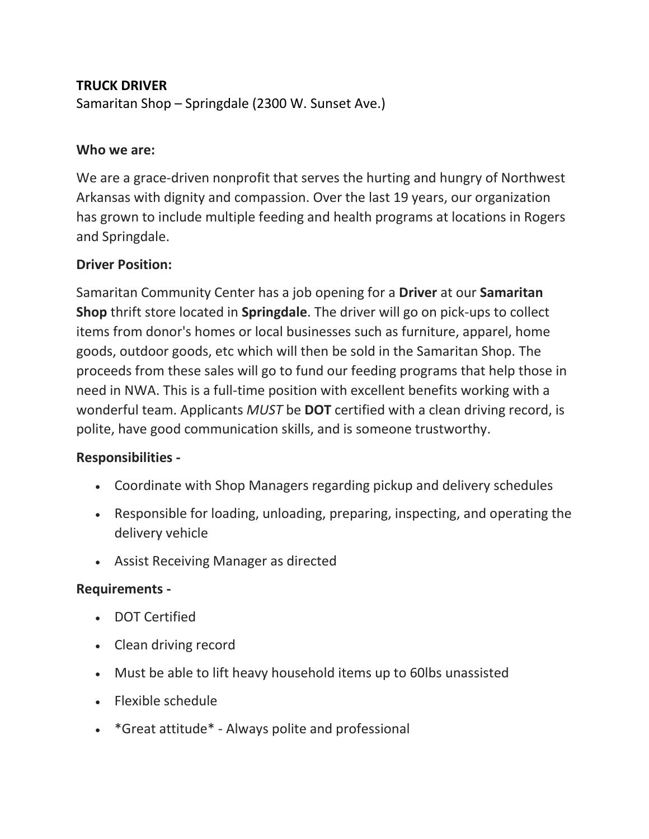## **TRUCK DRIVER**

Samaritan Shop – Springdale (2300 W. Sunset Ave.)

#### **Who we are:**

We are a grace-driven nonprofit that serves the hurting and hungry of Northwest Arkansas with dignity and compassion. Over the last 19 years, our organization has grown to include multiple feeding and health programs at locations in Rogers and Springdale.

#### **Driver Position:**

Samaritan Community Center has a job opening for a **Driver** at our **Samaritan Shop** thrift store located in **Springdale**. The driver will go on pick-ups to collect items from donor's homes or local businesses such as furniture, apparel, home goods, outdoor goods, etc which will then be sold in the Samaritan Shop. The proceeds from these sales will go to fund our feeding programs that help those in need in NWA. This is a full-time position with excellent benefits working with a wonderful team. Applicants *MUST* be **DOT** certified with a clean driving record, is polite, have good communication skills, and is someone trustworthy.

#### **Responsibilities -**

- Coordinate with Shop Managers regarding pickup and delivery schedules
- Responsible for loading, unloading, preparing, inspecting, and operating the delivery vehicle
- Assist Receiving Manager as directed

#### **Requirements -**

- DOT Certified
- Clean driving record
- Must be able to lift heavy household items up to 60lbs unassisted
- Flexible schedule
- \*Great attitude\* Always polite and professional